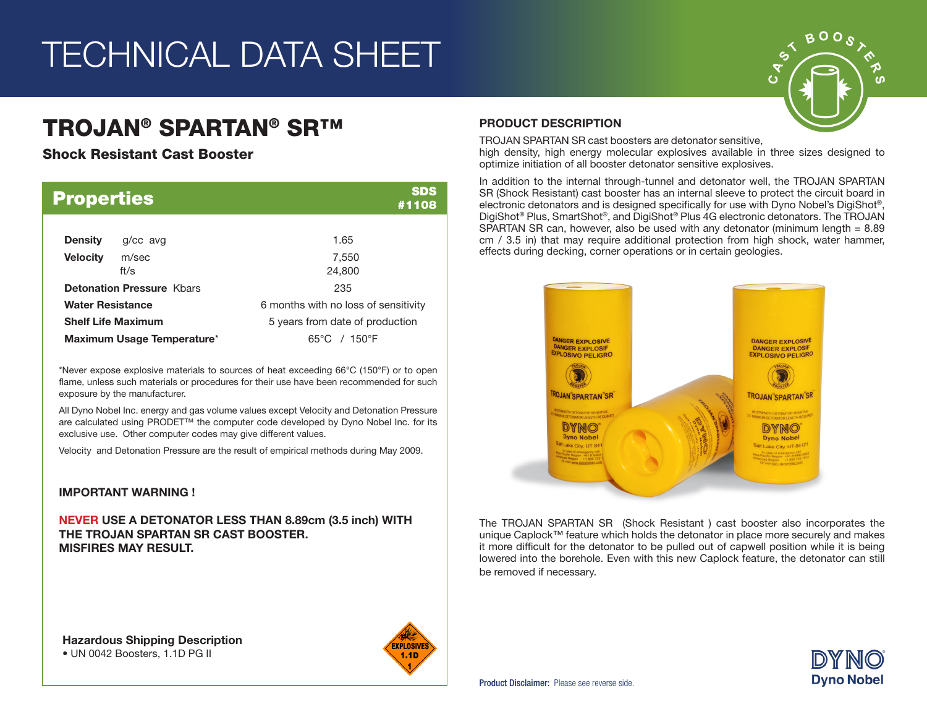# TECHNICAL DATA SHEET

## TROJAN® SPARTAN® SR™

Shock Resistant Cast Booster

| <b>Properties</b>                |                            | <b>SDS</b><br>#1108                  |  |  |  |
|----------------------------------|----------------------------|--------------------------------------|--|--|--|
| <b>Density</b>                   | g/cc avg                   | 1.65                                 |  |  |  |
| <b>Velocity</b>                  | m/sec<br>ft/s              | 7,550<br>24,800                      |  |  |  |
| <b>Detonation Pressure Khars</b> |                            | 235                                  |  |  |  |
| <b>Water Resistance</b>          |                            | 6 months with no loss of sensitivity |  |  |  |
|                                  | <b>Shelf Life Maximum</b>  | 5 years from date of production      |  |  |  |
|                                  | Maximum Usage Temperature* | $65^{\circ}$ C / 150 $^{\circ}$ F    |  |  |  |

\*Never expose explosive materials to sources of heat exceeding 66°C (150°F) or to open flame, unless such materials or procedures for their use have been recommended for such exposure by the manufacturer.

All Dyno Nobel Inc. energy and gas volume values except Velocity and Detonation Pressure are calculated using PRODET™ the computer code developed by Dyno Nobel Inc. for its exclusive use. Other computer codes may give different values.

Velocity and Detonation Pressure are the result of empirical methods during May 2009.

## IMPORTANT WARNING !

NEVER USE A DETONATOR LESS THAN 8.89cm (3.5 inch) WITH THE TROJAN SPARTAN SR CAST BOOSTER. MISFIRES MAY RESULT.

Hazardous Shipping Description • UN 0042 Boosters, 1.1D PG II



### PRODUCT DESCRIPTION

TROJAN SPARTAN SR cast boosters are detonator sensitive,

high density, high energy molecular explosives available in three sizes designed to optimize initiation of all booster detonator sensitive explosives.

In addition to the internal through-tunnel and detonator well, the TROJAN SPARTAN SR (Shock Resistant) cast booster has an internal sleeve to protect the circuit board in electronic detonators and is designed specifically for use with Dyno Nobel's DigiShot®, DigiShot® Plus, SmartShot®, and DigiShot® Plus 4G electronic detonators. The TROJAN SPARTAN SR can, however, also be used with any detonator (minimum length  $= 8.89$ ) cm / 3.5 in) that may require additional protection from high shock, water hammer, effects during decking, corner operations or in certain geologies.



The TROJAN SPARTAN SR (Shock Resistant ) cast booster also incorporates the unique Caplock™ feature which holds the detonator in place more securely and makes it more difficult for the detonator to be pulled out of capwell position while it is being lowered into the borehole. Even with this new Caplock feature, the detonator can still be removed if necessary.